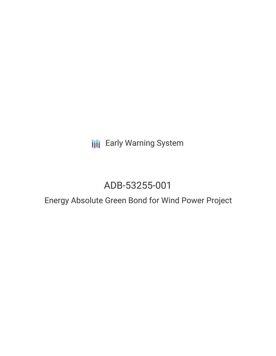**III** Early Warning System

# ADB-53255-001

## Energy Absolute Green Bond for Wind Power Project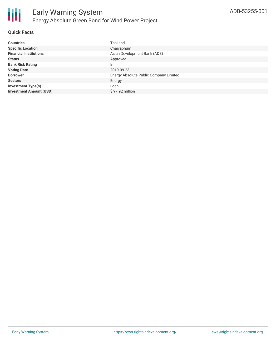

### **Quick Facts**

| <b>Countries</b>               | Thailand                               |
|--------------------------------|----------------------------------------|
| <b>Specific Location</b>       | Chaiyaphum                             |
| <b>Financial Institutions</b>  | Asian Development Bank (ADB)           |
| <b>Status</b>                  | Approved                               |
| <b>Bank Risk Rating</b>        | B                                      |
| <b>Voting Date</b>             | 2019-09-23                             |
| <b>Borrower</b>                | Energy Absolute Public Company Limited |
| <b>Sectors</b>                 | Energy                                 |
| <b>Investment Type(s)</b>      | Loan                                   |
| <b>Investment Amount (USD)</b> | \$97.92 million                        |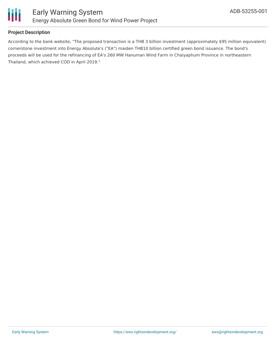

## **Project Description**

According to the bank website, "The proposed transaction is a THB 3 billion investment (approximately \$95 million equivalent) cornerstone investment into Energy Absolute's ("EA") maiden THB10 billion certified green bond issuance. The bond's proceeds will be used for the refinancing of EA's 260 MW Hanuman Wind Farm in Chaiyaphum Province in northeastern Thailand, which achieved COD in April 2019."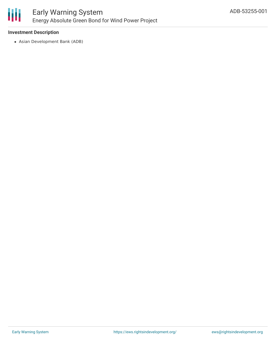

## **Investment Description**

Asian Development Bank (ADB)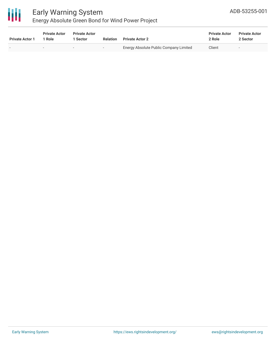

# Early Warning System

## Energy Absolute Green Bond for Wind Power Project

| <b>Private Actor 1</b> | <b>Private Actor</b><br>1 Role | <b>Private Actor</b><br><b>Sector</b> | <b>Relation</b>          | <b>Private Actor 2</b>                 | <b>Private Actor</b><br>2 Role | <b>Private Actor</b><br>2 Sector |
|------------------------|--------------------------------|---------------------------------------|--------------------------|----------------------------------------|--------------------------------|----------------------------------|
|                        | $\sim$                         |                                       | $\overline{\phantom{a}}$ | Energy Absolute Public Company Limited | Client                         |                                  |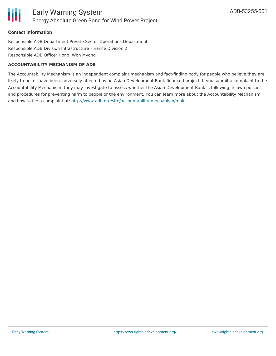## **Contact Information**

Responsible ADB Department Private Sector Operations Department Responsible ADB Division Infrastructure Finance Division 2 Responsible ADB Officer Hong, Won Myong

#### **ACCOUNTABILITY MECHANISM OF ADB**

The Accountability Mechanism is an independent complaint mechanism and fact-finding body for people who believe they are likely to be, or have been, adversely affected by an Asian Development Bank-financed project. If you submit a complaint to the Accountability Mechanism, they may investigate to assess whether the Asian Development Bank is following its own policies and procedures for preventing harm to people or the environment. You can learn more about the Accountability Mechanism and how to file a complaint at: <http://www.adb.org/site/accountability-mechanism/main>